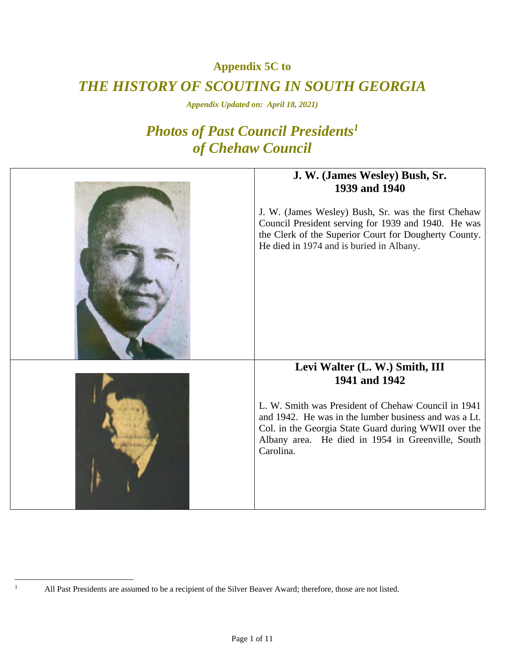**Appendix 5C to** 

## *THE HISTORY OF SCOUTING IN SOUTH GEORGIA*

*Appendix Updated on: April 18, 2021)* 

# *Photos of Past Council Presidents1 of Chehaw Council*

| J. W. (James Wesley) Bush, Sr.<br>1939 and 1940<br>J. W. (James Wesley) Bush, Sr. was the first Chehaw<br>Council President serving for 1939 and 1940. He was<br>the Clerk of the Superior Court for Dougherty County.<br>He died in 1974 and is buried in Albany. |
|--------------------------------------------------------------------------------------------------------------------------------------------------------------------------------------------------------------------------------------------------------------------|
| Levi Walter (L. W.) Smith, III                                                                                                                                                                                                                                     |
| 1941 and 1942<br>L. W. Smith was President of Chehaw Council in 1941<br>and 1942. He was in the lumber business and was a Lt.<br>Col. in the Georgia State Guard during WWII over the<br>Albany area. He died in 1954 in Greenville, South<br>Carolina.            |

 $\frac{1}{1}$ 

All Past Presidents are assumed to be a recipient of the Silver Beaver Award; therefore, those are not listed.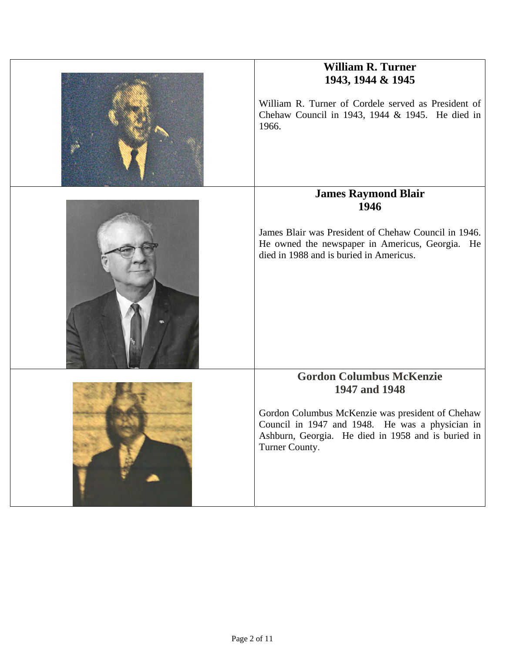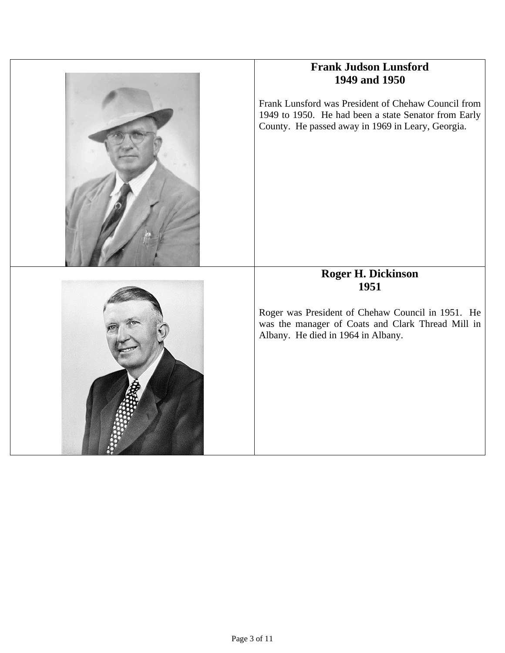

## **Frank Judson Lunsford 1949 and 1950**

Frank Lunsford was President of Chehaw Council from 1949 to 1950. He had been a state Senator from Early County. He passed away in 1969 in Leary, Georgia.



## **Roger H. Dickinson 1951**

Roger was President of Chehaw Council in 1951. He was the manager of Coats and Clark Thread Mill in Albany. He died in 1964 in Albany.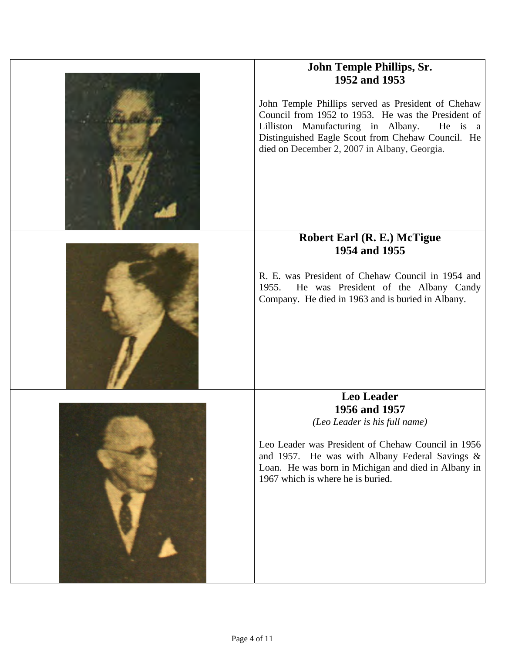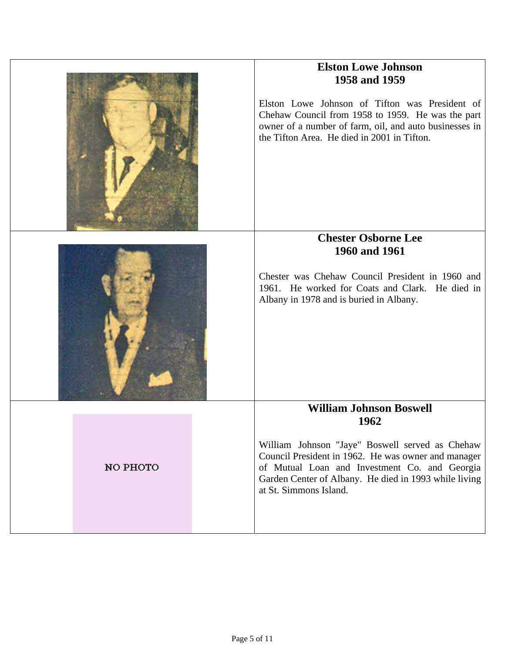|          | <b>Elston Lowe Johnson</b><br>1958 and 1959<br>Elston Lowe Johnson of Tifton was President of<br>Chehaw Council from 1958 to 1959. He was the part<br>owner of a number of farm, oil, and auto businesses in<br>the Tifton Area. He died in 2001 in Tifton.                          |
|----------|--------------------------------------------------------------------------------------------------------------------------------------------------------------------------------------------------------------------------------------------------------------------------------------|
|          | <b>Chester Osborne Lee</b><br>1960 and 1961<br>Chester was Chehaw Council President in 1960 and<br>1961. He worked for Coats and Clark. He died in<br>Albany in 1978 and is buried in Albany.                                                                                        |
| NO PHOTO | <b>William Johnson Boswell</b><br>1962<br>William Johnson "Jaye" Boswell served as Chehaw<br>Council President in 1962. He was owner and manager<br>of Mutual Loan and Investment Co. and Georgia<br>Garden Center of Albany. He died in 1993 while living<br>at St. Simmons Island. |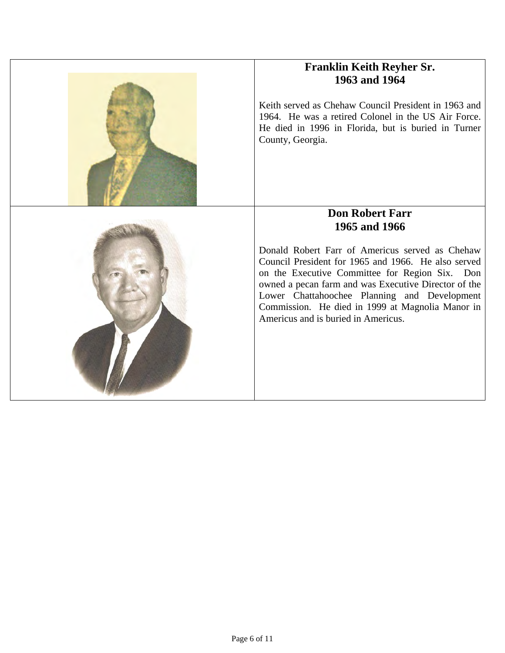

Keith served as Chehaw Council President in 1963 and 1964. He was a retired Colonel in the US Air Force. He died in 1996 in Florida, but is buried in Turner County, Georgia.



## **Don Robert Farr 1965 and 1966**

Donald Robert Farr of Americus served as Chehaw Council President for 1965 and 1966. He also served on the Executive Committee for Region Six. Don owned a pecan farm and was Executive Director of the Lower Chattahoochee Planning and Development Commission. He died in 1999 at Magnolia Manor in Americus and is buried in Americus.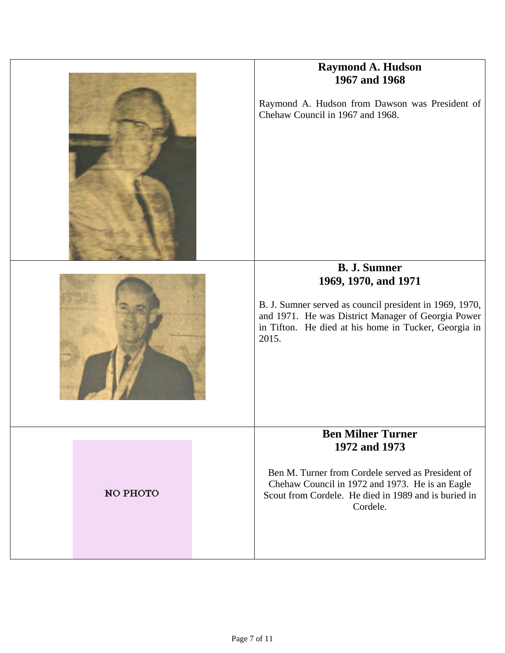|          | <b>Raymond A. Hudson</b><br>1967 and 1968<br>Raymond A. Hudson from Dawson was President of<br>Chehaw Council in 1967 and 1968.<br><b>B. J. Sumner</b><br>1969, 1970, and 1971<br>B. J. Sumner served as council president in 1969, 1970,<br>and 1971. He was District Manager of Georgia Power<br>in Tifton. He died at his home in Tucker, Georgia in<br>2015. |
|----------|------------------------------------------------------------------------------------------------------------------------------------------------------------------------------------------------------------------------------------------------------------------------------------------------------------------------------------------------------------------|
| NO PHOTO | <b>Ben Milner Turner</b><br>1972 and 1973<br>Ben M. Turner from Cordele served as President of<br>Chehaw Council in 1972 and 1973. He is an Eagle<br>Scout from Cordele. He died in 1989 and is buried in<br>Cordele.                                                                                                                                            |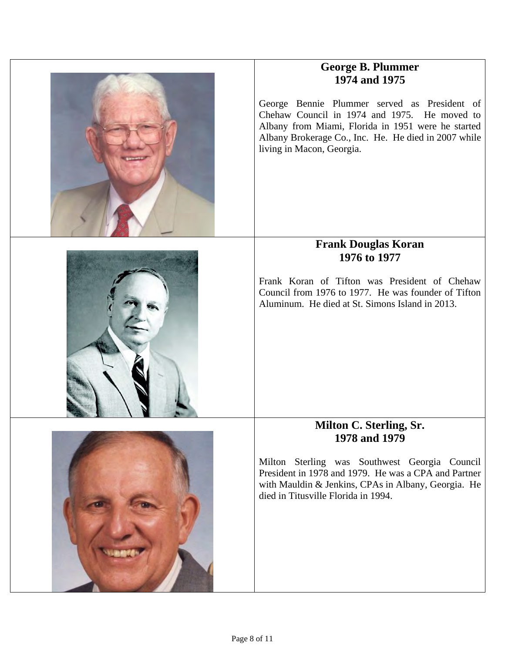

## **George B. Plummer 1974 and 1975**

George Bennie Plummer served as President of Chehaw Council in 1974 and 1975. He moved to Albany from Miami, Florida in 1951 were he started Albany Brokerage Co., Inc. He. He died in 2007 while living in Macon, Georgia.



## **Frank Douglas Koran 1976 to 1977**

Frank Koran of Tifton was President of Chehaw Council from 1976 to 1977. He was founder of Tifton Aluminum. He died at St. Simons Island in 2013.



#### **Milton C. Sterling, Sr. 1978 and 1979**

Milton Sterling was Southwest Georgia Council President in 1978 and 1979. He was a CPA and Partner with Mauldin & Jenkins, CPAs in Albany, Georgia. He died in Titusville Florida in 1994.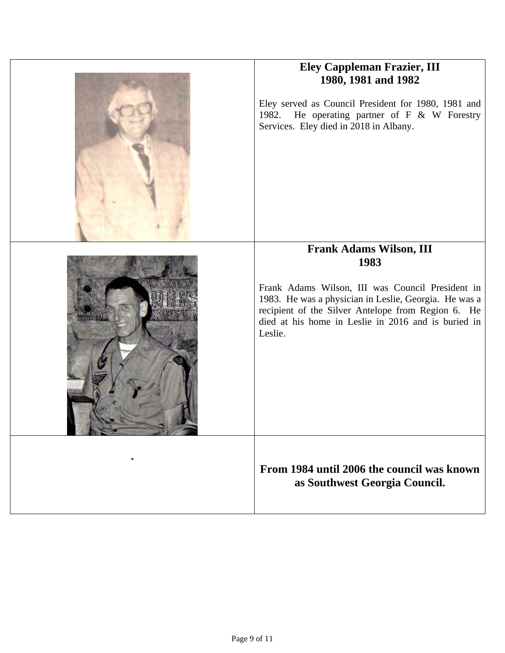|           | <b>Eley Cappleman Frazier, III</b><br>1980, 1981 and 1982<br>Eley served as Council President for 1980, 1981 and<br>He operating partner of $F \& W$ Forestry<br>1982.<br>Services. Eley died in 2018 in Albany.                                                            |
|-----------|-----------------------------------------------------------------------------------------------------------------------------------------------------------------------------------------------------------------------------------------------------------------------------|
|           | <b>Frank Adams Wilson, III</b><br>1983<br>Frank Adams Wilson, III was Council President in<br>1983. He was a physician in Leslie, Georgia. He was a<br>recipient of the Silver Antelope from Region 6. He<br>died at his home in Leslie in 2016 and is buried in<br>Leslie. |
| $\bullet$ | From 1984 until 2006 the council was known<br>as Southwest Georgia Council.                                                                                                                                                                                                 |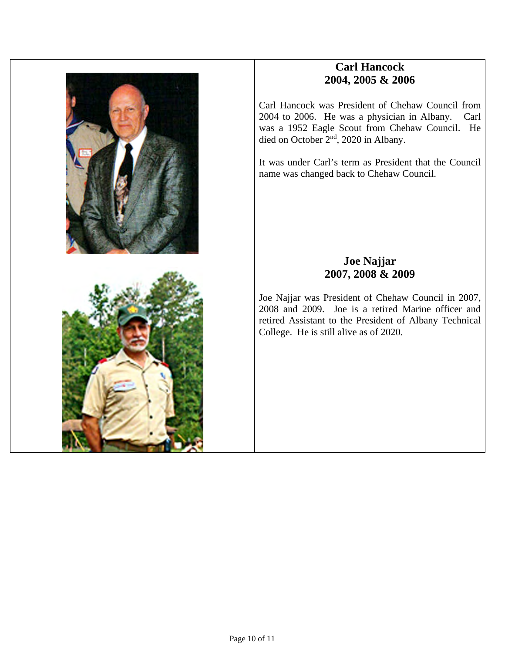

## **Carl Hancock 2004, 2005 & 2006**

Carl Hancock was President of Chehaw Council from 2004 to 2006. He was a physician in Albany. Carl was a 1952 Eagle Scout from Chehaw Council. He died on October 2nd, 2020 in Albany.

It was under Carl's term as President that the Council name was changed back to Chehaw Council.



#### **Joe Najjar 2007, 2008 & 2009**

Joe Najjar was President of Chehaw Council in 2007, 2008 and 2009. Joe is a retired Marine officer and retired Assistant to the President of Albany Technical College. He is still alive as of 2020.